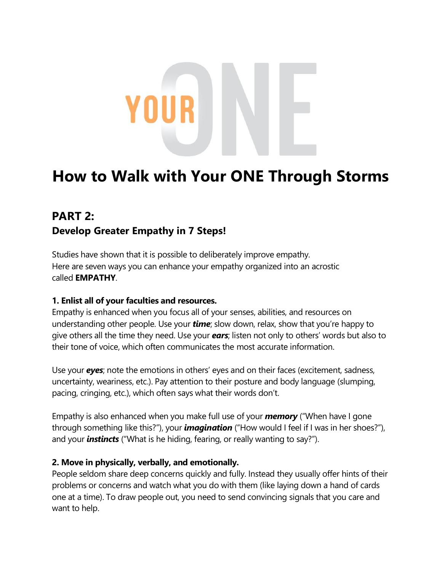# **How to Walk with Your ONE Through Storms**

## **PART 2: Develop Greater Empathy in 7 Steps!**

Studies have shown that it is possible to deliberately improve empathy. Here are seven ways you can enhance your empathy organized into an acrostic called **EMPATHY**.

### **1. Enlist all of your faculties and resources.**

Empathy is enhanced when you focus all of your senses, abilities, and resources on understanding other people. Use your *time*; slow down, relax, show that you're happy to give others all the time they need. Use your *ears*; listen not only to others' words but also to their tone of voice, which often communicates the most accurate information.

Use your *eyes*; note the emotions in others' eyes and on their faces (excitement, sadness, uncertainty, weariness, etc.). Pay attention to their posture and body language (slumping, pacing, cringing, etc.), which often says what their words don't.

Empathy is also enhanced when you make full use of your *memory* ("When have I gone through something like this?"), your *imagination* ("How would I feel if I was in her shoes?"), and your *instincts* ("What is he hiding, fearing, or really wanting to say?").

#### **2. Move in physically, verbally, and emotionally.**

People seldom share deep concerns quickly and fully. Instead they usually offer hints of their problems or concerns and watch what you do with them (like laying down a hand of cards one at a time). To draw people out, you need to send convincing signals that you care and want to help.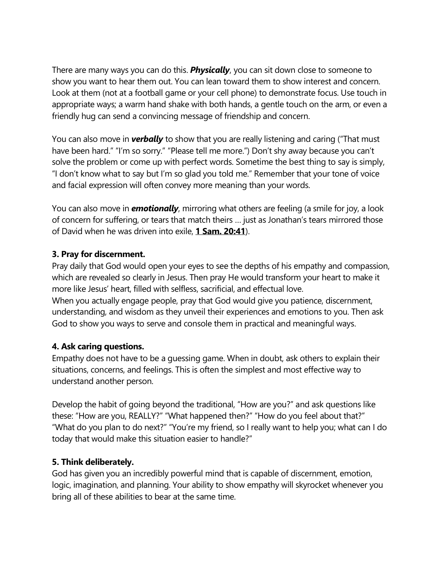There are many ways you can do this. *Physically*, you can sit down close to someone to show you want to hear them out. You can lean toward them to show interest and concern. Look at them (not at a football game or your cell phone) to demonstrate focus. Use touch in appropriate ways; a warm hand shake with both hands, a gentle touch on the arm, or even a friendly hug can send a convincing message of friendship and concern.

You can also move in *verbally* to show that you are really listening and caring ("That must have been hard." "I'm so sorry." "Please tell me more.") Don't shy away because you can't solve the problem or come up with perfect words. Sometime the best thing to say is simply, "I don't know what to say but I'm so glad you told me." Remember that your tone of voice and facial expression will often convey more meaning than your words.

You can also move in *emotionally*, mirroring what others are feeling (a smile for joy, a look of concern for suffering, or tears that match theirs … just as Jonathan's tears mirrored those of David when he was driven into exile, **[1 Sam. 20:41](https://biblia.com/bible/esv/1%20Sam.%2020.41)**).

#### **3. Pray for discernment.**

Pray daily that God would open your eyes to see the depths of his empathy and compassion, which are revealed so clearly in Jesus. Then pray He would transform your heart to make it more like Jesus' heart, filled with selfless, sacrificial, and effectual love. When you actually engage people, pray that God would give you patience, discernment, understanding, and wisdom as they unveil their experiences and emotions to you. Then ask God to show you ways to serve and console them in practical and meaningful ways.

#### **4. Ask caring questions.**

Empathy does not have to be a guessing game. When in doubt, ask others to explain their situations, concerns, and feelings. This is often the simplest and most effective way to understand another person.

Develop the habit of going beyond the traditional, "How are you?" and ask questions like these: "How are you, REALLY?" "What happened then?" "How do you feel about that?" "What do you plan to do next?" "You're my friend, so I really want to help you; what can I do today that would make this situation easier to handle?"

### **5. Think deliberately.**

God has given you an incredibly powerful mind that is capable of discernment, emotion, logic, imagination, and planning. Your ability to show empathy will skyrocket whenever you bring all of these abilities to bear at the same time.